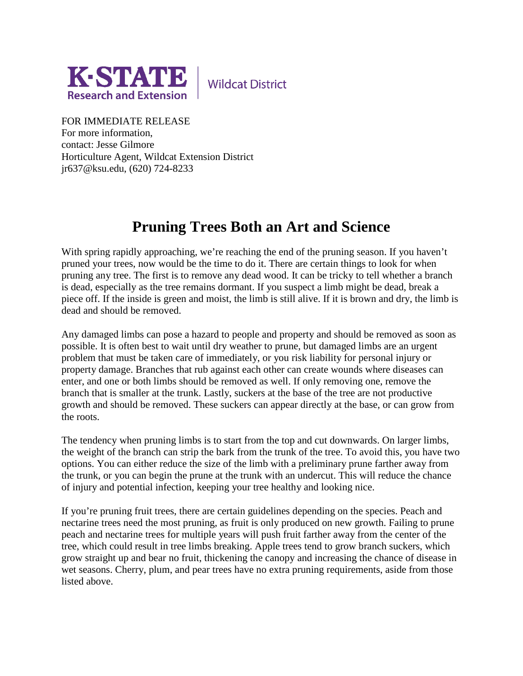

**Wildcat District** 

FOR IMMEDIATE RELEASE For more information,

contact: Jesse Gilmore Horticulture Agent, Wildcat Extension District jr637@ksu.edu, (620) 724-8233

## **Pruning Trees Both an Art and Science**

With spring rapidly approaching, we're reaching the end of the pruning season. If you haven't pruned your trees, now would be the time to do it. There are certain things to look for when pruning any tree. The first is to remove any dead wood. It can be tricky to tell whether a branch is dead, especially as the tree remains dormant. If you suspect a limb might be dead, break a piece off. If the inside is green and moist, the limb is still alive. If it is brown and dry, the limb is dead and should be removed.

Any damaged limbs can pose a hazard to people and property and should be removed as soon as possible. It is often best to wait until dry weather to prune, but damaged limbs are an urgent problem that must be taken care of immediately, or you risk liability for personal injury or property damage. Branches that rub against each other can create wounds where diseases can enter, and one or both limbs should be removed as well. If only removing one, remove the branch that is smaller at the trunk. Lastly, suckers at the base of the tree are not productive growth and should be removed. These suckers can appear directly at the base, or can grow from the roots.

The tendency when pruning limbs is to start from the top and cut downwards. On larger limbs, the weight of the branch can strip the bark from the trunk of the tree. To avoid this, you have two options. You can either reduce the size of the limb with a preliminary prune farther away from the trunk, or you can begin the prune at the trunk with an undercut. This will reduce the chance of injury and potential infection, keeping your tree healthy and looking nice.

If you're pruning fruit trees, there are certain guidelines depending on the species. Peach and nectarine trees need the most pruning, as fruit is only produced on new growth. Failing to prune peach and nectarine trees for multiple years will push fruit farther away from the center of the tree, which could result in tree limbs breaking. Apple trees tend to grow branch suckers, which grow straight up and bear no fruit, thickening the canopy and increasing the chance of disease in wet seasons. Cherry, plum, and pear trees have no extra pruning requirements, aside from those listed above.